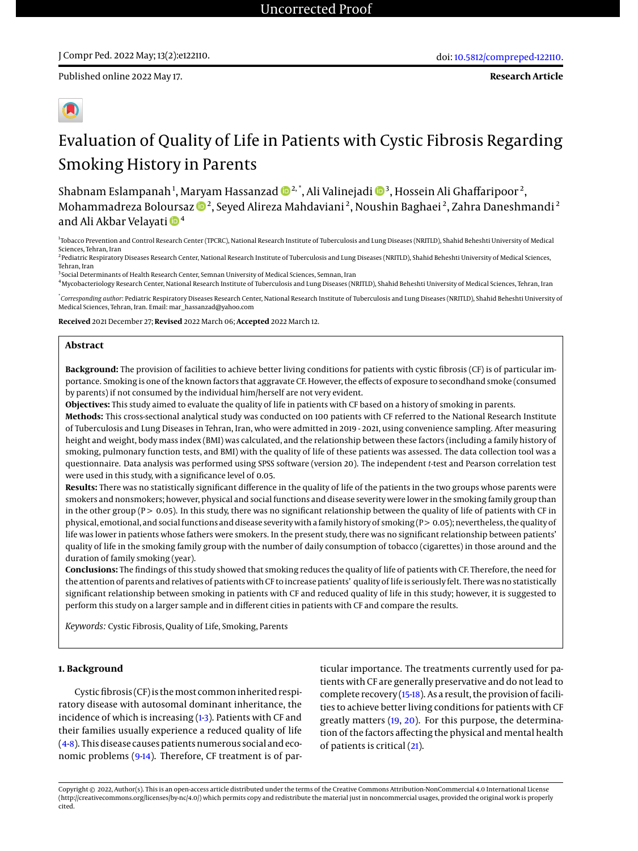**Research Article**



# Evaluation of Quality of Life in Patients with Cystic Fibrosis Regarding Smoking History in Parents

Shabnam Eslampanah $^1$ , Maryam Hassanzad  $\pmb{\mathbb{D}}^{2, *},$  Ali Valinejadi  $\pmb{\mathbb{D}}^{3},$  Hossein Ali Ghaffaripoor $^2,$ Mohammadreza Boloursaz  $\mathbf{D}^2$ , Seyed Alireza Mahdaviani $^2$ , Noushin Baghaei $^2$ , Zahra Daneshmandi $^2$ and Ali Akbar Velayati  $\mathbf{D}^4$ 

1 Tobacco Prevention and Control Research Center (TPCRC), National Research Institute of Tuberculosis and Lung Diseases (NRITLD), Shahid Beheshti University of Medical Sciences, Tehran, Iran

<sup>2</sup> Pediatric Respiratory Diseases Research Center, National Research Institute of Tuberculosis and Lung Diseases (NRITLD), Shahid Beheshti University of Medical Sciences, Tehran, Iran

<sup>3</sup> Social Determinants of Health Research Center, Semnan University of Medical Sciences, Semnan, Iran

<sup>4</sup>Mycobacteriology Research Center, National Research Institute of Tuberculosis and Lung Diseases (NRITLD), Shahid Beheshti University of Medical Sciences, Tehran, Iran

\* *Corresponding author*: Pediatric Respiratory Diseases Research Center, National Research Institute of Tuberculosis and Lung Diseases (NRITLD), Shahid Beheshti University of Medical Sciences, Tehran, Iran. Email: mar\_hassanzad@yahoo.com

**Received** 2021 December 27; **Revised** 2022 March 06; **Accepted** 2022 March 12.

#### **Abstract**

**Background:** The provision of facilities to achieve better living conditions for patients with cystic fibrosis (CF) is of particular importance. Smoking is one of the known factors that aggravate CF. However, the effects of exposure to secondhand smoke (consumed by parents) if not consumed by the individual him/herself are not very evident.

**Objectives:** This study aimed to evaluate the quality of life in patients with CF based on a history of smoking in parents.

**Methods:** This cross-sectional analytical study was conducted on 100 patients with CF referred to the National Research Institute of Tuberculosis and Lung Diseases in Tehran, Iran, who were admitted in 2019 - 2021, using convenience sampling. After measuring height and weight, body mass index (BMI) was calculated, and the relationship between these factors (including a family history of smoking, pulmonary function tests, and BMI) with the quality of life of these patients was assessed. The data collection tool was a questionnaire. Data analysis was performed using SPSS software (version 20). The independent *t*-test and Pearson correlation test were used in this study, with a significance level of 0.05.

**Results:** There was no statistically significant difference in the quality of life of the patients in the two groups whose parents were smokers and nonsmokers; however, physical and social functions and disease severity were lower in the smoking family group than in the other group  $(P > 0.05)$ . In this study, there was no significant relationship between the quality of life of patients with CF in physical, emotional, and social functions and disease severity with a family history of smoking (P > 0.05); nevertheless, the quality of life was lower in patients whose fathers were smokers. In the present study, there was no significant relationship between patients' quality of life in the smoking family group with the number of daily consumption of tobacco (cigarettes) in those around and the duration of family smoking (year).

**Conclusions:** The findings of this study showed that smoking reduces the quality of life of patients with CF. Therefore, the need for the attention of parents and relatives of patients with CF to increase patients' quality of life is seriously felt. There was no statistically significant relationship between smoking in patients with CF and reduced quality of life in this study; however, it is suggested to perform this study on a larger sample and in different cities in patients with CF and compare the results.

*Keywords:* Cystic Fibrosis, Quality of Life, Smoking, Parents

#### **1. Background**

Cystic fibrosis (CF) is themost common inherited respiratory disease with autosomal dominant inheritance, the incidence of which is increasing [\(1-](#page-5-0)[3\)](#page-5-1). Patients with CF and their families usually experience a reduced quality of life [\(4-](#page-5-2)[8\)](#page-5-3). This disease causes patients numerous social and eco-nomic problems [\(9](#page-5-4)[-14\)](#page-5-5). Therefore, CF treatment is of particular importance. The treatments currently used for patients with CF are generally preservative and do not lead to complete recovery [\(15](#page-5-6)[-18\)](#page-5-7). As a result, the provision of facilities to achieve better living conditions for patients with CF greatly matters [\(19,](#page-5-8) [20\)](#page-5-9). For this purpose, the determination of the factors affecting the physical and mental health of patients is critical [\(21\)](#page-5-10).

Copyright © 2022, Author(s). This is an open-access article distributed under the terms of the Creative Commons Attribution-NonCommercial 4.0 International License (http://creativecommons.org/licenses/by-nc/4.0/) which permits copy and redistribute the material just in noncommercial usages, provided the original work is properly cited.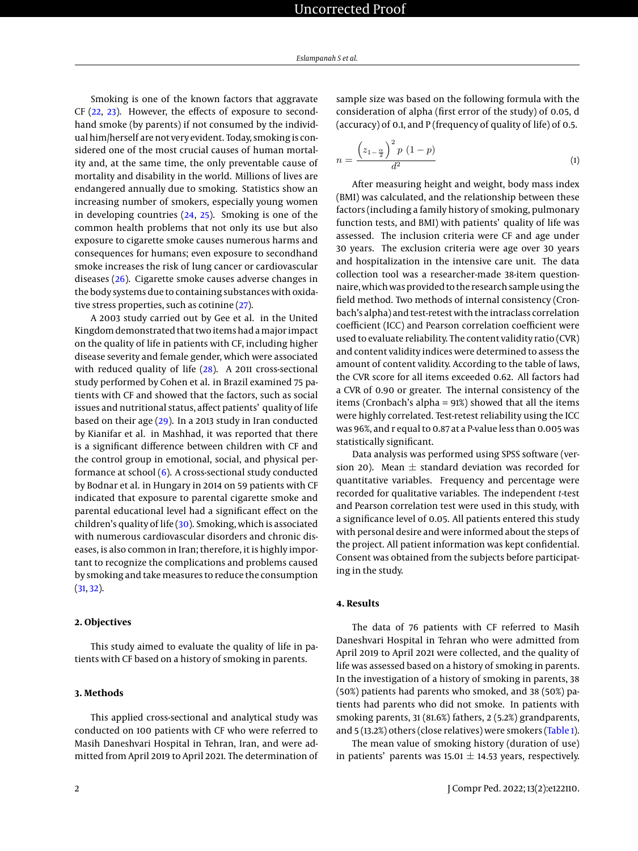Smoking is one of the known factors that aggravate CF [\(22,](#page-5-11) [23\)](#page-5-12). However, the effects of exposure to secondhand smoke (by parents) if not consumed by the individual him/herself are not very evident. Today, smoking is considered one of the most crucial causes of human mortality and, at the same time, the only preventable cause of mortality and disability in the world. Millions of lives are endangered annually due to smoking. Statistics show an increasing number of smokers, especially young women in developing countries [\(24,](#page-5-13) [25\)](#page-5-14). Smoking is one of the common health problems that not only its use but also exposure to cigarette smoke causes numerous harms and consequences for humans; even exposure to secondhand smoke increases the risk of lung cancer or cardiovascular diseases [\(26\)](#page-5-15). Cigarette smoke causes adverse changes in the body systems due to containing substances with oxidative stress properties, such as cotinine [\(27\)](#page-5-16).

A 2003 study carried out by Gee et al. in the United Kingdom demonstrated that two items had amajor impact on the quality of life in patients with CF, including higher disease severity and female gender, which were associated with reduced quality of life [\(28\)](#page-5-17). A 2011 cross-sectional study performed by Cohen et al. in Brazil examined 75 patients with CF and showed that the factors, such as social issues and nutritional status, affect patients' quality of life based on their age [\(29\)](#page-5-18). In a 2013 study in Iran conducted by Kianifar et al. in Mashhad, it was reported that there is a significant difference between children with CF and the control group in emotional, social, and physical performance at school [\(6\)](#page-5-19). A cross-sectional study conducted by Bodnar et al. in Hungary in 2014 on 59 patients with CF indicated that exposure to parental cigarette smoke and parental educational level had a significant effect on the children's quality of life [\(30\)](#page-5-20). Smoking, which is associated with numerous cardiovascular disorders and chronic diseases, is also common in Iran; therefore, it is highly important to recognize the complications and problems caused by smoking and take measures to reduce the consumption [\(31,](#page-5-21) [32\)](#page-6-0).

# **2. Objectives**

This study aimed to evaluate the quality of life in patients with CF based on a history of smoking in parents.

# **3. Methods**

This applied cross-sectional and analytical study was conducted on 100 patients with CF who were referred to Masih Daneshvari Hospital in Tehran, Iran, and were admitted from April 2019 to April 2021. The determination of sample size was based on the following formula with the consideration of alpha (first error of the study) of 0.05, d (accuracy) of 0.1, and P (frequency of quality of life) of 0.5.

$$
n = \frac{\left(z_{1-\frac{\alpha}{2}}\right)^2 p \left(1-p\right)}{d^2} \tag{1}
$$

After measuring height and weight, body mass index (BMI) was calculated, and the relationship between these factors (including a family history of smoking, pulmonary function tests, and BMI) with patients' quality of life was assessed. The inclusion criteria were CF and age under 30 years. The exclusion criteria were age over 30 years and hospitalization in the intensive care unit. The data collection tool was a researcher-made 38-item questionnaire, which was provided to the research sample using the field method. Two methods of internal consistency (Cronbach's alpha) and test-retest with the intraclass correlation coefficient (ICC) and Pearson correlation coefficient were used to evaluate reliability. The content validity ratio (CVR) and content validity indices were determined to assess the amount of content validity. According to the table of laws, the CVR score for all items exceeded 0.62. All factors had a CVR of 0.90 or greater. The internal consistency of the items (Cronbach's alpha = 91%) showed that all the items were highly correlated. Test-retest reliability using the ICC was 96%, and r equal to 0.87 at a P-value less than 0.005 was statistically significant.

Data analysis was performed using SPSS software (version 20). Mean  $\pm$  standard deviation was recorded for quantitative variables. Frequency and percentage were recorded for qualitative variables. The independent *t*-test and Pearson correlation test were used in this study, with a significance level of 0.05. All patients entered this study with personal desire and were informed about the steps of the project. All patient information was kept confidential. Consent was obtained from the subjects before participating in the study.

# **4. Results**

The data of 76 patients with CF referred to Masih Daneshvari Hospital in Tehran who were admitted from April 2019 to April 2021 were collected, and the quality of life was assessed based on a history of smoking in parents. In the investigation of a history of smoking in parents, 38 (50%) patients had parents who smoked, and 38 (50%) patients had parents who did not smoke. In patients with smoking parents, 31 (81.6%) fathers, 2 (5.2%) grandparents, and 5 (13.2%) others (close relatives) were smokers [\(Table 1\)](#page-2-0).

The mean value of smoking history (duration of use) in patients' parents was  $15.01 \pm 14.53$  years, respectively.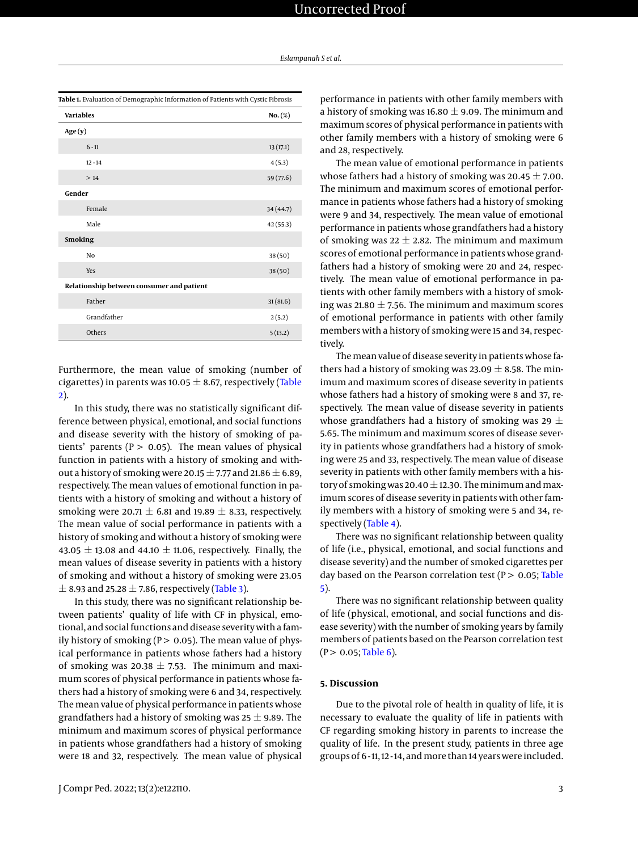<span id="page-2-0"></span>

| Table 1. Evaluation of Demographic Information of Patients with Cystic Fibrosis |           |  |  |  |
|---------------------------------------------------------------------------------|-----------|--|--|--|
| <b>Variables</b>                                                                | No. (%)   |  |  |  |
| Age(y)                                                                          |           |  |  |  |
| $6 - 11$                                                                        | 13(17.1)  |  |  |  |
| $12 - 14$                                                                       | 4(5.3)    |  |  |  |
| >14                                                                             | 59 (77.6) |  |  |  |
| Gender                                                                          |           |  |  |  |
| Female                                                                          | 34 (44.7) |  |  |  |
| Male                                                                            | 42 (55.3) |  |  |  |
| <b>Smoking</b>                                                                  |           |  |  |  |
| No                                                                              | 38(50)    |  |  |  |
| Yes                                                                             | 38(50)    |  |  |  |
| Relationship between consumer and patient                                       |           |  |  |  |
| Father                                                                          | 31(81.6)  |  |  |  |
| Grandfather                                                                     | 2(5.2)    |  |  |  |
| Others                                                                          | 5(13.2)   |  |  |  |

Furthermore, the mean value of smoking (number of cigarettes) in parents was 10.05  $\pm$  8.67, respectively [\(Table](#page-3-0) [2\)](#page-3-0).

In this study, there was no statistically significant difference between physical, emotional, and social functions and disease severity with the history of smoking of patients' parents ( $P > 0.05$ ). The mean values of physical function in patients with a history of smoking and without a history of smoking were 20.15  $\pm$  7.77 and 21.86  $\pm$  6.89, respectively. The mean values of emotional function in patients with a history of smoking and without a history of smoking were 20.71  $\pm$  6.81 and 19.89  $\pm$  8.33, respectively. The mean value of social performance in patients with a history of smoking and without a history of smoking were 43.05  $\pm$  13.08 and 44.10  $\pm$  11.06, respectively. Finally, the mean values of disease severity in patients with a history of smoking and without a history of smoking were 23.05  $\pm$  8.93 and 25.28  $\pm$  7.86, respectively [\(Table 3\)](#page-3-1).

In this study, there was no significant relationship between patients' quality of life with CF in physical, emotional, and social functions and disease severity with a family history of smoking ( $P > 0.05$ ). The mean value of physical performance in patients whose fathers had a history of smoking was 20.38  $\pm$  7.53. The minimum and maximum scores of physical performance in patients whose fathers had a history of smoking were 6 and 34, respectively. The mean value of physical performance in patients whose grandfathers had a history of smoking was  $25 \pm 9.89$ . The minimum and maximum scores of physical performance in patients whose grandfathers had a history of smoking were 18 and 32, respectively. The mean value of physical

performance in patients with other family members with a history of smoking was 16.80  $\pm$  9.09. The minimum and maximum scores of physical performance in patients with other family members with a history of smoking were 6 and 28, respectively.

The mean value of emotional performance in patients whose fathers had a history of smoking was  $20.45 \pm 7.00$ . The minimum and maximum scores of emotional performance in patients whose fathers had a history of smoking were 9 and 34, respectively. The mean value of emotional performance in patients whose grandfathers had a history of smoking was  $22 \pm 2.82$ . The minimum and maximum scores of emotional performance in patients whose grandfathers had a history of smoking were 20 and 24, respectively. The mean value of emotional performance in patients with other family members with a history of smoking was 21.80  $\pm$  7.56. The minimum and maximum scores of emotional performance in patients with other family members with a history of smoking were 15 and 34, respectively.

The mean value of disease severity in patients whose fathers had a history of smoking was  $23.09 \pm 8.58$ . The minimum and maximum scores of disease severity in patients whose fathers had a history of smoking were 8 and 37, respectively. The mean value of disease severity in patients whose grandfathers had a history of smoking was 29  $\pm$ 5.65. The minimum and maximum scores of disease severity in patients whose grandfathers had a history of smoking were 25 and 33, respectively. The mean value of disease severity in patients with other family members with a history of smoking was 20.40  $\pm$  12.30. The minimum and maximum scores of disease severity in patients with other family members with a history of smoking were 5 and 34, respectively [\(Table 4\)](#page-4-0).

There was no significant relationship between quality of life (i.e., physical, emotional, and social functions and disease severity) and the number of smoked cigarettes per day based on the Pearson correlation test ( $P > 0.05$ ; [Table](#page-4-1) [5\)](#page-4-1).

There was no significant relationship between quality of life (physical, emotional, and social functions and disease severity) with the number of smoking years by family members of patients based on the Pearson correlation test  $(P > 0.05;$ [Table 6\)](#page-4-2).

#### **5. Discussion**

Due to the pivotal role of health in quality of life, it is necessary to evaluate the quality of life in patients with CF regarding smoking history in parents to increase the quality of life. In the present study, patients in three age groups of 6 - 11, 12 - 14, andmore than 14 years were included.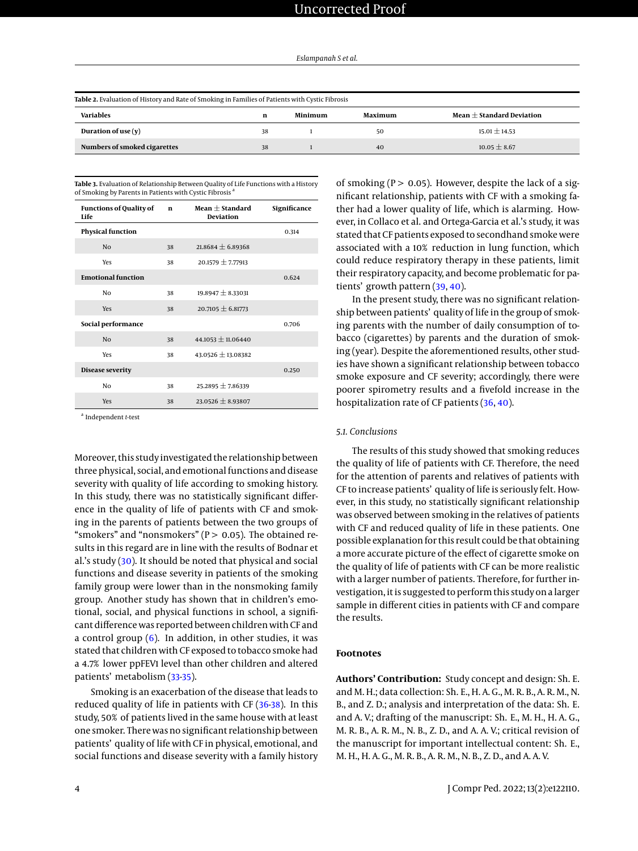<span id="page-3-0"></span>

| Table 2. Evaluation of History and Rate of Smoking in Families of Patients with Cystic Fibrosis |    |         |         |                               |
|-------------------------------------------------------------------------------------------------|----|---------|---------|-------------------------------|
| Variables                                                                                       | n  | Minimum | Maximum | Mean $\pm$ Standard Deviation |
| Duration of use $(v)$                                                                           | 38 |         | 50      | $15.01 \pm 14.53$             |
| Numbers of smoked cigarettes                                                                    | 38 |         | 40      | $10.05 \pm 8.67$              |

<span id="page-3-1"></span>**Table 3.** Evaluation of Relationship Between Quality of Life Functions with a History of Smoking by Parents in Patients with Cystic Fibrosis

| <b>Functions of Quality of</b><br>Life | $\mathbf n$ | Mean $\pm$ Standard<br><b>Deviation</b> | Significance |
|----------------------------------------|-------------|-----------------------------------------|--------------|
| <b>Physical function</b>               |             |                                         | 0.314        |
| N <sub>0</sub>                         | 38          | $21.8684 \pm 6.89368$                   |              |
| Yes                                    | 38          | $20.1579 \pm 7.77913$                   |              |
| <b>Emotional function</b>              |             |                                         | 0.624        |
| Nο                                     | 38          | $19.8947 \pm 8.33031$                   |              |
| Yes                                    | 38          | $20.7105 \pm 6.81773$                   |              |
| Social performance                     |             |                                         | 0.706        |
| N <sub>0</sub>                         | 38          | $44.1053 \pm 11.06440$                  |              |
| Yes                                    | 38          | $43.0526 \pm 13.08382$                  |              |
| <b>Disease severity</b>                |             |                                         | 0.250        |
| Nο                                     | 38          | $25.2895 \pm 7.86339$                   |              |
| Yes                                    | 38          | $23.0526 \pm 8.93807$                   |              |

a Independent *t*-test

Moreover, this study investigated the relationship between three physical, social, and emotional functions and disease severity with quality of life according to smoking history. In this study, there was no statistically significant difference in the quality of life of patients with CF and smoking in the parents of patients between the two groups of "smokers" and "nonsmokers" ( $P > 0.05$ ). The obtained results in this regard are in line with the results of Bodnar et al.'s study  $(30)$ . It should be noted that physical and social functions and disease severity in patients of the smoking family group were lower than in the nonsmoking family group. Another study has shown that in children's emotional, social, and physical functions in school, a significant difference was reported between children with CF and a control group  $(6)$ . In addition, in other studies, it was stated that children with CF exposed to tobacco smoke had a 4.7% lower ppFEV1 level than other children and altered patients' metabolism [\(33](#page-6-1)[-35\)](#page-6-2).

Smoking is an exacerbation of the disease that leads to reduced quality of life in patients with CF [\(36-](#page-6-3)[38\)](#page-6-4). In this study, 50% of patients lived in the same house with at least one smoker. There was no significant relationship between patients' quality of life with CF in physical, emotional, and social functions and disease severity with a family history

of smoking ( $P > 0.05$ ). However, despite the lack of a significant relationship, patients with CF with a smoking father had a lower quality of life, which is alarming. However, in Collaco et al. and Ortega-Garcia et al.'s study, it was stated that CF patients exposed to secondhand smoke were associated with a 10% reduction in lung function, which could reduce respiratory therapy in these patients, limit their respiratory capacity, and become problematic for patients' growth pattern [\(39,](#page-6-5) [40\)](#page-6-6).

In the present study, there was no significant relationship between patients' quality of life in the group of smoking parents with the number of daily consumption of tobacco (cigarettes) by parents and the duration of smoking (year). Despite the aforementioned results, other studies have shown a significant relationship between tobacco smoke exposure and CF severity; accordingly, there were poorer spirometry results and a fivefold increase in the hospitalization rate of CF patients [\(36,](#page-6-3) [40\)](#page-6-6).

#### *5.1. Conclusions*

The results of this study showed that smoking reduces the quality of life of patients with CF. Therefore, the need for the attention of parents and relatives of patients with CF to increase patients' quality of life is seriously felt. However, in this study, no statistically significant relationship was observed between smoking in the relatives of patients with CF and reduced quality of life in these patients. One possible explanation for this result could be that obtaining a more accurate picture of the effect of cigarette smoke on the quality of life of patients with CF can be more realistic with a larger number of patients. Therefore, for further investigation, it is suggested to perform this study on a larger sample in different cities in patients with CF and compare the results.

# **Footnotes**

**Authors' Contribution:** Study concept and design: Sh. E. and M. H.; data collection: Sh. E., H. A. G., M. R. B., A. R. M., N. B., and Z. D.; analysis and interpretation of the data: Sh. E. and A. V.; drafting of the manuscript: Sh. E., M. H., H. A. G., M. R. B., A. R. M., N. B., Z. D., and A. A. V.; critical revision of the manuscript for important intellectual content: Sh. E., M. H., H. A. G., M. R. B., A. R. M., N. B., Z. D., and A. A. V.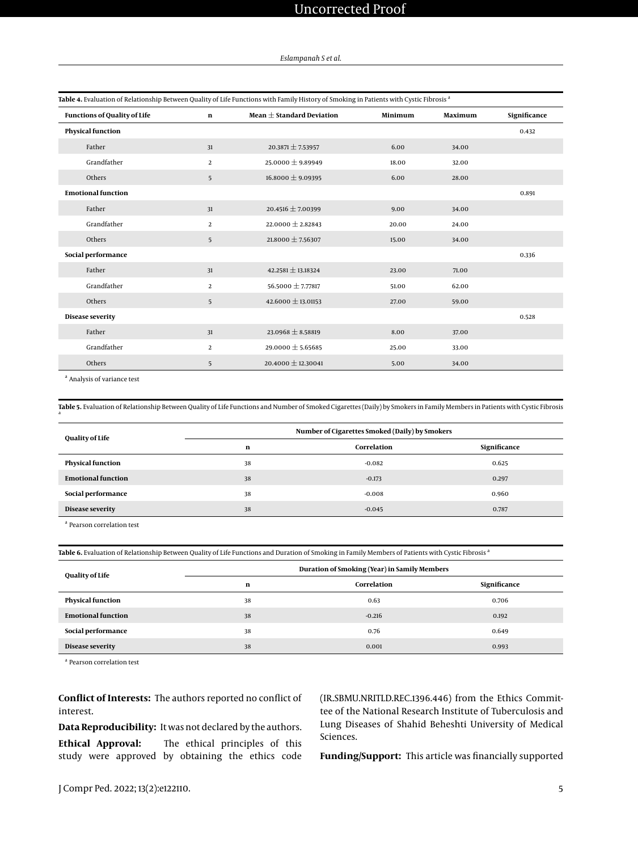# Uncorrected Proof

#### *Eslampanah S et al.*

<span id="page-4-0"></span>

| Table 4. Evaluation of Relationship Between Quality of Life Functions with Family History of Smoking in Patients with Cystic Fibrosis <sup>a</sup> |                |                               |         |         |              |
|----------------------------------------------------------------------------------------------------------------------------------------------------|----------------|-------------------------------|---------|---------|--------------|
| <b>Functions of Quality of Life</b>                                                                                                                | $\mathbf n$    | Mean $\pm$ Standard Deviation | Minimum | Maximum | Significance |
| <b>Physical function</b>                                                                                                                           |                |                               |         |         | 0.432        |
| Father                                                                                                                                             | 31             | $20.3871 \pm 7.53957$         | 6.00    | 34.00   |              |
| Grandfather                                                                                                                                        | 2              | 25.0000 $\pm$ 9.89949         | 18.00   | 32.00   |              |
| Others                                                                                                                                             | 5              | $16.8000 \pm 9.09395$         | 6.00    | 28.00   |              |
| <b>Emotional function</b>                                                                                                                          |                |                               |         |         | 0.891        |
| Father                                                                                                                                             | 31             | 20.4516 $\pm$ 7.00399         | 9.00    | 34.00   |              |
| Grandfather                                                                                                                                        | 2              | 22.0000 $\pm$ 2.82843         | 20.00   | 24.00   |              |
| Others                                                                                                                                             | 5              | 21.8000 $\pm$ 7.56307         | 15.00   | 34.00   |              |
| Social performance                                                                                                                                 |                |                               |         |         | 0.336        |
| Father                                                                                                                                             | 31             | 42.2581 $\pm$ 13.18324        | 23.00   | 71.00   |              |
| Grandfather                                                                                                                                        | 2              | 56.5000 ± 7.77817             | 51.00   | 62.00   |              |
| Others                                                                                                                                             | 5              | $42.6000 \pm 13.01153$        | 27.00   | 59.00   |              |
| Disease severity                                                                                                                                   |                |                               |         |         | 0.528        |
| Father                                                                                                                                             | 31             | $23.0968 \pm 8.58819$         | 8.00    | 37.00   |              |
| Grandfather                                                                                                                                        | $\overline{a}$ | 29.0000 $\pm$ 5.65685         | 25.00   | 33.00   |              |
| Others                                                                                                                                             | 5              | $20.4000 \pm 12.30041$        | 5.00    | 34.00   |              |

<sup>a</sup> Analysis of variance test

a

<span id="page-4-1"></span>**Table 5.** Evaluation of Relationship Between Quality of Life Functions and Number of Smoked Cigarettes (Daily) by Smokers in Family Members in Patients with Cystic Fibrosis

| Quality of Life           | Number of Cigarettes Smoked (Daily) by Smokers |             |              |  |
|---------------------------|------------------------------------------------|-------------|--------------|--|
|                           | n                                              | Correlation | Significance |  |
| <b>Physical function</b>  | 38                                             | $-0.082$    | 0.625        |  |
| <b>Emotional function</b> | 38                                             | $-0.173$    | 0.297        |  |
| Social performance        | 38                                             | $-0.008$    | 0.960        |  |
| Disease severity          | 38                                             | $-0.045$    | 0.787        |  |

a Pearson correlation test

<span id="page-4-2"></span>Table 6. Evaluation of Relationship Between Quality of Life Functions and Duration of Smoking in Family Members of Patients with Cystic Fibrosis<sup>a</sup>

| Quality of Life           | Duration of Smoking (Year) in Samily Members |             |              |  |
|---------------------------|----------------------------------------------|-------------|--------------|--|
|                           | n                                            | Correlation | Significance |  |
| <b>Physical function</b>  | 38                                           | 0.63        | 0.706        |  |
| <b>Emotional function</b> | 38                                           | $-0.216$    | 0.192        |  |
| Social performance        | 38                                           | 0.76        | 0.649        |  |
| Disease severity          | 38                                           | 0.001       | 0.993        |  |

a Pearson correlation test

**Conflict of Interests:** The authors reported no conflict of interest.

**Data Reproducibility:** It was not declared by the authors. **Ethical Approval:** The ethical principles of this study were approved by obtaining the ethics code

(IR.SBMU.NRITLD.REC.1396.446) from the Ethics Committee of the National Research Institute of Tuberculosis and Lung Diseases of Shahid Beheshti University of Medical Sciences.

**Funding/Support:** This article was financially supported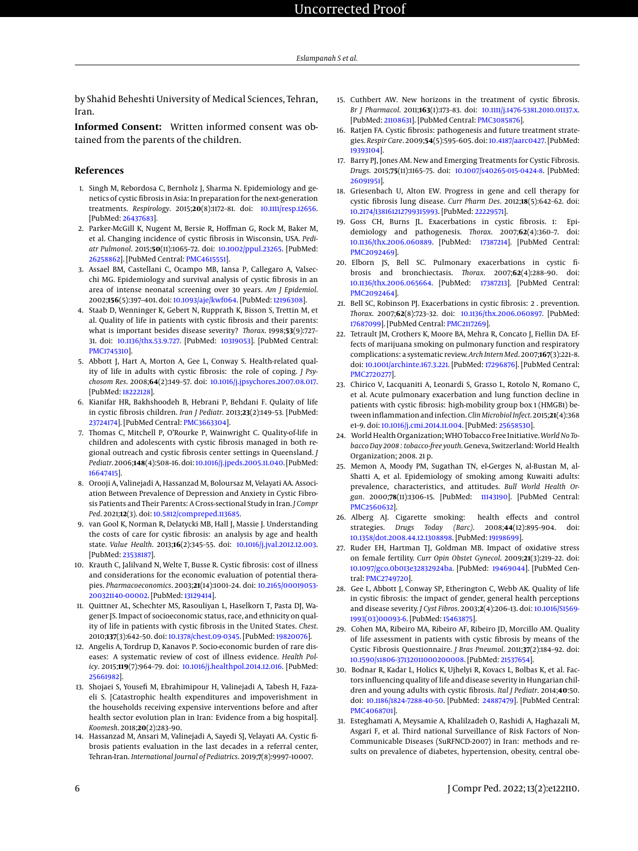by Shahid Beheshti University of Medical Sciences, Tehran, Iran.

**Informed Consent:** Written informed consent was obtained from the parents of the children.

### **References**

- <span id="page-5-0"></span>1. Singh M, Rebordosa C, Bernholz J, Sharma N. Epidemiology and genetics of cystic fibrosis in Asia: In preparation for the next-generation treatments. *Respirology*. 2015;**20**(8):1172–81. doi: [10.1111/resp.12656.](http://dx.doi.org/10.1111/resp.12656) [PubMed: [26437683\]](http://www.ncbi.nlm.nih.gov/pubmed/26437683).
- 2. Parker-McGill K, Nugent M, Bersie R, Hoffman G, Rock M, Baker M, et al. Changing incidence of cystic fibrosis in Wisconsin, USA. *Pediatr Pulmonol*. 2015;**50**(11):1065–72. doi: [10.1002/ppul.23265.](http://dx.doi.org/10.1002/ppul.23265) [PubMed: [26258862\]](http://www.ncbi.nlm.nih.gov/pubmed/26258862). [PubMed Central: [PMC4615551\]](https://www.ncbi.nlm.nih.gov/pmc/articles/PMC4615551).
- <span id="page-5-1"></span>3. Assael BM, Castellani C, Ocampo MB, Iansa P, Callegaro A, Valsecchi MG. Epidemiology and survival analysis of cystic fibrosis in an area of intense neonatal screening over 30 years. *Am J Epidemiol*. 2002;**156**(5):397–401. doi: [10.1093/aje/kwf064.](http://dx.doi.org/10.1093/aje/kwf064) [PubMed: [12196308\]](http://www.ncbi.nlm.nih.gov/pubmed/12196308).
- <span id="page-5-2"></span>4. Staab D, Wenninger K, Gebert N, Rupprath K, Bisson S, Trettin M, et al. Quality of life in patients with cystic fibrosis and their parents: what is important besides disease severity? *Thorax*. 1998;**53**(9):727– 31. doi: [10.1136/thx.53.9.727.](http://dx.doi.org/10.1136/thx.53.9.727) [PubMed: [10319053\]](http://www.ncbi.nlm.nih.gov/pubmed/10319053). [PubMed Central: [PMC1745310\]](https://www.ncbi.nlm.nih.gov/pmc/articles/PMC1745310).
- 5. Abbott J, Hart A, Morton A, Gee L, Conway S. Health-related quality of life in adults with cystic fibrosis: the role of coping. *J Psychosom Res*. 2008;**64**(2):149–57. doi: [10.1016/j.jpsychores.2007.08.017.](http://dx.doi.org/10.1016/j.jpsychores.2007.08.017) [PubMed: [18222128\]](http://www.ncbi.nlm.nih.gov/pubmed/18222128).
- <span id="page-5-19"></span>6. Kianifar HR, Bakhshoodeh B, Hebrani P, Behdani F. Qulaity of life in cystic fibrosis children. *Iran J Pediatr*. 2013;**23**(2):149–53. [PubMed: [23724174\]](http://www.ncbi.nlm.nih.gov/pubmed/23724174). [PubMed Central: [PMC3663304\]](https://www.ncbi.nlm.nih.gov/pmc/articles/PMC3663304).
- 7. Thomas C, Mitchell P, O'Rourke P, Wainwright C. Quality-of-life in children and adolescents with cystic fibrosis managed in both regional outreach and cystic fibrosis center settings in Queensland. *J Pediatr*. 2006;**148**(4):508–16. doi: [10.1016/j.jpeds.2005.11.040.](http://dx.doi.org/10.1016/j.jpeds.2005.11.040) [PubMed: [16647415\]](http://www.ncbi.nlm.nih.gov/pubmed/16647415).
- <span id="page-5-3"></span>8. Orooji A, Valinejadi A, Hassanzad M, Boloursaz M, Velayati AA. Association Between Prevalence of Depression and Anxiety in Cystic Fibrosis Patients and Their Parents: A Cross-sectional Study in Iran. *J Compr Ped*. 2021;**12**(3). doi: [10.5812/compreped.113685.](http://dx.doi.org/10.5812/compreped.113685)
- <span id="page-5-4"></span>9. van Gool K, Norman R, Delatycki MB, Hall J, Massie J. Understanding the costs of care for cystic fibrosis: an analysis by age and health state. *Value Health*. 2013;**16**(2):345–55. doi: [10.1016/j.jval.2012.12.003.](http://dx.doi.org/10.1016/j.jval.2012.12.003) [PubMed: [23538187\]](http://www.ncbi.nlm.nih.gov/pubmed/23538187).
- 10. Krauth C, Jalilvand N, Welte T, Busse R. Cystic fibrosis: cost of illness and considerations for the economic evaluation of potential therapies. *Pharmacoeconomics*. 2003;**21**(14):1001–24. doi: [10.2165/00019053-](http://dx.doi.org/10.2165/00019053-200321140-00002) [200321140-00002.](http://dx.doi.org/10.2165/00019053-200321140-00002) [PubMed: [13129414\]](http://www.ncbi.nlm.nih.gov/pubmed/13129414).
- 11. Quittner AL, Schechter MS, Rasouliyan L, Haselkorn T, Pasta DJ, Wagener JS. Impact of socioeconomic status, race, and ethnicity on quality of life in patients with cystic fibrosis in the United States. *Chest*. 2010;**137**(3):642–50. doi: [10.1378/chest.09-0345.](http://dx.doi.org/10.1378/chest.09-0345) [PubMed: [19820076\]](http://www.ncbi.nlm.nih.gov/pubmed/19820076).
- 12. Angelis A, Tordrup D, Kanavos P. Socio-economic burden of rare diseases: A systematic review of cost of illness evidence. *Health Policy*. 2015;**119**(7):964–79. doi: [10.1016/j.healthpol.2014.12.016.](http://dx.doi.org/10.1016/j.healthpol.2014.12.016) [PubMed: [25661982\]](http://www.ncbi.nlm.nih.gov/pubmed/25661982).
- 13. Shojaei S, Yousefi M, Ebrahimipour H, Valinejadi A, Tabesh H, Fazaeli S. [Catastrophic health expenditures and impoverishment in the households receiving expensive interventions before and after health sector evolution plan in Iran: Evidence from a big hospital]. *Koomesh*. 2018;**20**(2):283–90.
- <span id="page-5-5"></span>14. Hassanzad M, Ansari M, Valinejadi A, Sayedi SJ, Velayati AA. Cystic fibrosis patients evaluation in the last decades in a referral center, Tehran-Iran. *International Journal of Pediatrics*. 2019;**7**(8):9997–10007.
- <span id="page-5-6"></span>15. Cuthbert AW. New horizons in the treatment of cystic fibrosis. *Br J Pharmacol*. 2011;**163**(1):173–83. doi: [10.1111/j.1476-5381.2010.01137.x.](http://dx.doi.org/10.1111/j.1476-5381.2010.01137.x) [PubMed: [21108631\]](http://www.ncbi.nlm.nih.gov/pubmed/21108631). [PubMed Central: [PMC3085876\]](https://www.ncbi.nlm.nih.gov/pmc/articles/PMC3085876).
- 16. Ratjen FA. Cystic fibrosis: pathogenesis and future treatment strategies. *Respir Care*. 2009;**54**(5):595–605. doi: [10.4187/aarc0427.](http://dx.doi.org/10.4187/aarc0427) [PubMed: [19393104\]](http://www.ncbi.nlm.nih.gov/pubmed/19393104).
- 17. Barry PJ, Jones AM. New and Emerging Treatments for Cystic Fibrosis. *Drugs*. 2015;**75**(11):1165–75. doi: [10.1007/s40265-015-0424-8.](http://dx.doi.org/10.1007/s40265-015-0424-8) [PubMed: [26091951\]](http://www.ncbi.nlm.nih.gov/pubmed/26091951).
- <span id="page-5-7"></span>18. Griesenbach U, Alton EW. Progress in gene and cell therapy for cystic fibrosis lung disease. *Curr Pharm Des*. 2012;**18**(5):642–62. doi: [10.2174/138161212799315993.](http://dx.doi.org/10.2174/138161212799315993) [PubMed: [22229571\]](http://www.ncbi.nlm.nih.gov/pubmed/22229571).
- <span id="page-5-8"></span>19. Goss CH, Burns JL. Exacerbations in cystic fibrosis. 1: Epidemiology and pathogenesis. *Thorax*. 2007;**62**(4):360–7. doi: [10.1136/thx.2006.060889.](http://dx.doi.org/10.1136/thx.2006.060889) [PubMed: [17387214\]](http://www.ncbi.nlm.nih.gov/pubmed/17387214). [PubMed Central: [PMC2092469\]](https://www.ncbi.nlm.nih.gov/pmc/articles/PMC2092469).
- <span id="page-5-9"></span>20. Elborn JS, Bell SC. Pulmonary exacerbations in cystic fibrosis and bronchiectasis. *Thorax*. 2007;**62**(4):288–90. doi: [10.1136/thx.2006.065664.](http://dx.doi.org/10.1136/thx.2006.065664) [PubMed: [17387213\]](http://www.ncbi.nlm.nih.gov/pubmed/17387213). [PubMed Central: [PMC2092464\]](https://www.ncbi.nlm.nih.gov/pmc/articles/PMC2092464).
- <span id="page-5-10"></span>21. Bell SC, Robinson PJ. Exacerbations in cystic fibrosis: 2 . prevention. *Thorax*. 2007;**62**(8):723–32. doi: [10.1136/thx.2006.060897.](http://dx.doi.org/10.1136/thx.2006.060897) [PubMed: [17687099\]](http://www.ncbi.nlm.nih.gov/pubmed/17687099). [PubMed Central: [PMC2117269\]](https://www.ncbi.nlm.nih.gov/pmc/articles/PMC2117269).
- <span id="page-5-11"></span>22. Tetrault JM, Crothers K, Moore BA, Mehra R, Concato J, Fiellin DA. Effects of marijuana smoking on pulmonary function and respiratory complications: a systematic review. *Arch Intern Med*. 2007;**167**(3):221–8. doi: [10.1001/archinte.167.3.221.](http://dx.doi.org/10.1001/archinte.167.3.221) [PubMed: [17296876\]](http://www.ncbi.nlm.nih.gov/pubmed/17296876). [PubMed Central: [PMC2720277\]](https://www.ncbi.nlm.nih.gov/pmc/articles/PMC2720277).
- <span id="page-5-12"></span>23. Chirico V, Lacquaniti A, Leonardi S, Grasso L, Rotolo N, Romano C, et al. Acute pulmonary exacerbation and lung function decline in patients with cystic fibrosis: high-mobility group box 1 (HMGB1) between inflammation and infection.*Clin Microbiol Infect*. 2015;**21**(4):368 e1–9. doi: [10.1016/j.cmi.2014.11.004.](http://dx.doi.org/10.1016/j.cmi.2014.11.004) [PubMed: [25658530\]](http://www.ncbi.nlm.nih.gov/pubmed/25658530).
- <span id="page-5-13"></span>24. World Health Organization; WHO Tobacco Free Initiative. *World No Tobacco Day 2008 : tobacco-free youth*. Geneva, Switzerland: World Health Organization; 2008. 21 p.
- <span id="page-5-14"></span>25. Memon A, Moody PM, Sugathan TN, el-Gerges N, al-Bustan M, al-Shatti A, et al. Epidemiology of smoking among Kuwaiti adults: prevalence, characteristics, and attitudes. *Bull World Health Organ*. 2000;**78**(11):1306–15. [PubMed: [11143190\]](http://www.ncbi.nlm.nih.gov/pubmed/11143190). [PubMed Central: [PMC2560632\]](https://www.ncbi.nlm.nih.gov/pmc/articles/PMC2560632).
- <span id="page-5-15"></span>26. Alberg AJ. Cigarette smoking: health effects and control strategies. *Drugs Today (Barc)*. 2008;**44**(12):895–904. doi: [10.1358/dot.2008.44.12.1308898.](http://dx.doi.org/10.1358/dot.2008.44.12.1308898) [PubMed: [19198699\]](http://www.ncbi.nlm.nih.gov/pubmed/19198699).
- <span id="page-5-16"></span>27. Ruder EH, Hartman TJ, Goldman MB. Impact of oxidative stress on female fertility. *Curr Opin Obstet Gynecol*. 2009;**21**(3):219–22. doi: [10.1097/gco.0b013e32832924ba.](http://dx.doi.org/10.1097/gco.0b013e32832924ba) [PubMed: [19469044\]](http://www.ncbi.nlm.nih.gov/pubmed/19469044). [PubMed Central: [PMC2749720\]](https://www.ncbi.nlm.nih.gov/pmc/articles/PMC2749720).
- <span id="page-5-17"></span>28. Gee L, Abbott J, Conway SP, Etherington C, Webb AK. Quality of life in cystic fibrosis: the impact of gender, general health perceptions and disease severity. *J Cyst Fibros*. 2003;**2**(4):206–13. doi: [10.1016/S1569-](http://dx.doi.org/10.1016/S1569-1993(03)00093-6) [1993\(03\)00093-6.](http://dx.doi.org/10.1016/S1569-1993(03)00093-6) [PubMed: [15463875\]](http://www.ncbi.nlm.nih.gov/pubmed/15463875).
- <span id="page-5-18"></span>29. Cohen MA, Ribeiro MA, Ribeiro AF, Ribeiro JD, Morcillo AM. Quality of life assessment in patients with cystic fibrosis by means of the Cystic Fibrosis Questionnaire. *J Bras Pneumol*. 2011;**37**(2):184–92. doi: [10.1590/s1806-37132011000200008.](http://dx.doi.org/10.1590/s1806-37132011000200008) [PubMed: [21537654\]](http://www.ncbi.nlm.nih.gov/pubmed/21537654).
- <span id="page-5-20"></span>30. Bodnar R, Kadar L, Holics K, Ujhelyi R, Kovacs L, Bolbas K, et al. Factors influencing quality of life and disease severity in Hungarian children and young adults with cystic fibrosis. *Ital J Pediatr*. 2014;**40**:50. doi: [10.1186/1824-7288-40-50.](http://dx.doi.org/10.1186/1824-7288-40-50) [PubMed: [24887479\]](http://www.ncbi.nlm.nih.gov/pubmed/24887479). [PubMed Central: [PMC4068701\]](https://www.ncbi.nlm.nih.gov/pmc/articles/PMC4068701).
- <span id="page-5-21"></span>31. Esteghamati A, Meysamie A, Khalilzadeh O, Rashidi A, Haghazali M, Asgari F, et al. Third national Surveillance of Risk Factors of Non-Communicable Diseases (SuRFNCD-2007) in Iran: methods and results on prevalence of diabetes, hypertension, obesity, central obe-